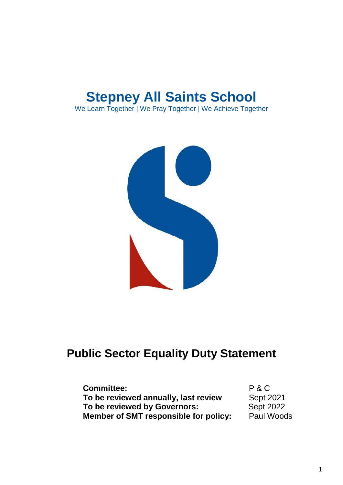



# **Public Sector Equality Duty Statement**

| <b>Committee:</b>                     | P & C            |
|---------------------------------------|------------------|
| To be reviewed annually, last review  | Sept 2021        |
| To be reviewed by Governors:          | <b>Sept 2022</b> |
| Member of SMT responsible for policy: | Paul Woods       |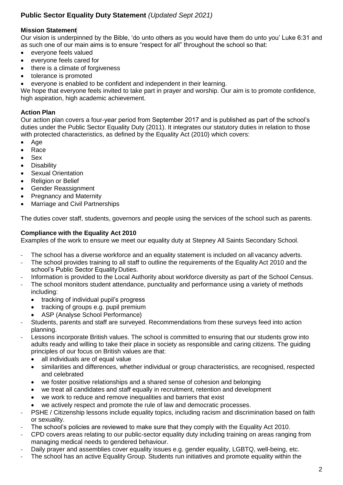## **Public Sector Equality Duty Statement** *(Updated Sept 2021)*

#### **Mission Statement**

Our vision is underpinned by the Bible, 'do unto others as you would have them do unto you' Luke 6:31 and as such one of our main aims is to ensure "respect for all" throughout the school so that:

- everyone feels valued
- everyone feels cared for
- there is a climate of forgiveness
- tolerance is promoted
- everyone is enabled to be confident and independent in their learning.

We hope that everyone feels invited to take part in prayer and worship. Our aim is to promote confidence, high aspiration, high academic achievement.

#### **Action Plan**

Our action plan covers a four-year period from September 2017 and is published as part of the school's duties under the Public Sector Equality Duty (2011). It integrates our statutory duties in relation to those with protected characteristics, as defined by the Equality Act (2010) which covers:

- Age
- Race
- Sex
- **Disability**
- Sexual Orientation
- Religion or Belief
- Gender Reassignment
- Pregnancy and Maternity
- Marriage and Civil Partnerships

The duties cover staff, students, governors and people using the services of the school such as parents.

#### **Compliance with the Equality Act 2010**

Examples of the work to ensure we meet our equality duty at Stepney All Saints Secondary School.

- The school has a diverse workforce and an equality statement is included on all vacancy adverts.
- The school provides training to all staff to outline the requirements of the Equality Act 2010 and the school's Public Sector Equality Duties.
- Information is provided to the Local Authority about workforce diversity as part of the School Census.
- The school monitors student attendance, punctuality and performance using a variety of methods including:
	- tracking of individual pupil's progress
	- tracking of groups e.g. pupil premium
	- ASP (Analyse School Performance)
- Students, parents and staff are surveyed. Recommendations from these surveys feed into action planning.
- Lessons incorporate British values. The school is committed to ensuring that our students grow into adults ready and willing to take their place in society as responsible and caring citizens. The guiding principles of our focus on British values are that:
	- all individuals are of equal value
	- similarities and differences, whether individual or group characteristics, are recognised, respected and celebrated
	- we foster positive relationships and a shared sense of cohesion and belonging
	- we treat all candidates and staff equally in recruitment, retention and development
	- we work to reduce and remove inequalities and barriers that exist
	- we actively respect and promote the rule of law and democratic processes.
- PSHE / Citizenship lessons include equality topics, including racism and discrimination based on faith or sexuality.
- The school's policies are reviewed to make sure that they comply with the Equality Act 2010.
- CPD covers areas relating to our public-sector equality duty including training on areas ranging from managing medical needs to gendered behaviour.
- Daily prayer and assemblies cover equality issues e.g. gender equality, LGBTQ, well-being, etc.
- The school has an active Equality Group. Students run initiatives and promote equality within the